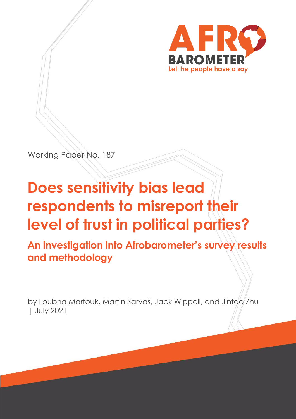

Working Paper No. 187

# **Does sensitivity bias lead respondents to misreport their level of trust in political parties?**

**An investigation into Afrobarometer's survey results and methodology**

by Loubna Marfouk, Martin Sarvaš, Jack Wippell, and Jintao Zhu | July 2021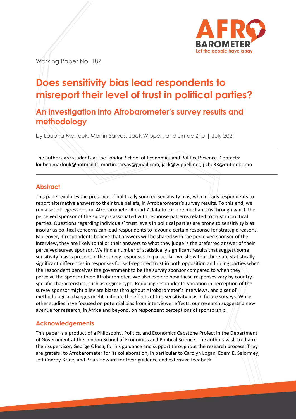

Working Paper No. 187

# **Does sensitivity bias lead respondents to misreport their level of trust in political parties?**

**An investigation into Afrobarometer's survey results and methodology**

by Loubna Marfouk, Martin Sarvaš, Jack Wippell, and Jintao Zhu | July 2021

The authors are students at the London School of Economics and Political Science. Contacts: [loubna.marfouk@hotmail.fr,](mailto:loubna.marfouk@hotmail.fr) [martin.sarvas@gmail.com,](mailto:martin.sarvas@gmail.com) [jack@wippell.net,](mailto:jack@wippell.net) [j.zhu33@outlook.com](mailto:j.zhu33@outlook.com)

# **Abstract**

This paper explores the presence of politically sourced sensitivity bias, which leads respondents to report alternative answers to their true beliefs, in Afrobarometer's survey results. To this end, we run a set of regressions on Afrobarometer Round 7 data to explore mechanisms through which the perceived sponsor of the survey is associated with response patterns related to trust in political parties. Questions regarding individuals' trust levels in political parties are prone to sensitivity bias insofar as political concerns can lead respondents to favour a certain response for strategic reasons. Moreover, if respondents believe that answers will be shared with the perceived sponsor of the interview, they are likely to tailor their answers to what they judge is the preferred answer of their perceived survey sponsor. We find a number of statistically significant results that suggest some sensitivity bias is present in the survey responses. In particular, we show that there are statistically significant differences in responses for self-reported trust in both opposition and ruling parties when the respondent perceives the government to be the survey sponsor compared to when they perceive the sponsor to be Afrobarometer. We also explore how these responses vary by countryspecific characteristics, such as regime type. Reducing respondents' variation in perception of the survey sponsor might alleviate biases throughout Afrobarometer's interviews, and a set of methodological changes might mitigate the effects of this sensitivity bias in future surveys. While other studies have focused on potential bias from interviewer effects, our research suggests a new avenue for research, in Africa and beyond, on respondent perceptions of sponsorship.

# **Acknowledgements**

This paper is a product of a Philosophy, Politics, and Economics Capstone Project in the Department of Government at the London School of Economics and Political Science. The authors wish to thank their supervisor, George Ofosu, for his guidance and support throughout the research process. They are grateful to Afrobarometer for its collaboration, in particular to Carolyn Logan, Edem E. Selormey, Jeff Conroy-Krutz, and Brian Howard for their guidance and extensive feedback.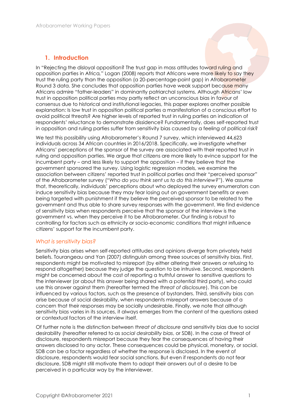# **1. Introduction**

In "Rejecting the disloyal opposition? The trust gap in mass attitudes toward ruling and opposition parties in Africa*,*" Logan (2008) reports that Africans were more likely to say they trust the ruling party than the opposition (a 20-percentage-point gap) in Afrobarometer Round 3 data. She concludes that opposition parties have weak support because many Africans admire "father-leaders" in dominantly patriarchal systems. Although Africans' low trust in opposition political parties may partly reflect an unconscious bias in favour of consensus due to historical and institutional legacies, this paper explores another possible explanation: Is low trust in opposition political parties a manifestation of a conscious effort to avoid political threats? Are higher levels of reported trust in ruling parties an indication of respondents' reluctance to demonstrate dissidence? Fundamentally, does self-reported trust in opposition and ruling parties suffer from sensitivity bias caused by a feeling of political risk?

We test this possibility using Afrobarometer's Round 7 survey, which interviewed 44,623 individuals across 34 African countries in 2016/2018. Specifically, we investigate whether Africans' perceptions of the sponsor of the survey are associated with their reported trust in ruling and opposition parties. We argue that citizens are more likely to evince support for the incumbent party – and less likely to support the opposition – if they believe that the government sponsored the survey. Using logistic regression models, we examine the association between citizens' reported trust in political parties and their "perceived sponsor" of the Afrobarometer survey ("*Who do you think sent us to do this interview?*"). We assume that, theoretically, individuals' perceptions about who deployed the survey enumerators can induce sensitivity bias because they may fear losing out on government benefits or even being targeted with punishment if they believe the perceived sponsor to be related to the government and thus able to share survey responses with the government. We find evidence of sensitivity bias when respondents perceive that the sponsor of the interview is the government vs. when they perceive it to be Afrobarometer. Our finding is robust to controlling for factors such as ethnicity or socio-economic conditions that might influence citizens' support for the incumbent party.

#### *What is sensitivity bias?*

Sensitivity bias arises when self-reported attitudes and opinions diverge from privately held beliefs. Tourangeau and Yan (2007) distinguish among three sources of sensitivity bias. First, respondents might be motivated to misreport (by either altering their answers or refusing to respond altogether) because they judge the question to be intrusive. Second, respondents might be concerned about the cost of reporting a truthful answer to sensitive questions to the interviewer (or about this answer being shared with a potential third party), who could use this answer against them (hereafter termed the *threat of disclosure*). This can be influenced by various factors, such as the presence of bystanders. Third, sensitivity bias can arise because of social desirability, when respondents misreport answers because of a concern that their responses may be socially undesirable. Finally, we note that although sensitivity bias varies in its sources, it always emerges from the content of the questions asked or contextual factors of the interview itself.

Of further note is the distinction between *threat of disclosure* and sensitivity bias due to social desirability (hereafter referred to as *social desirability bias*, or SDB). In the case of threat of disclosure, respondents misreport because they fear the consequences of having their answers disclosed to any actor. These consequences could be physical, monetary, or social. SDB can be a factor regardless of whether the response is disclosed. In the event of disclosure, respondents would fear social sanctions. But even if respondents do not fear disclosure, SDB might still motivate them to adapt their answers out of a desire to be perceived in a particular way by the interviewer.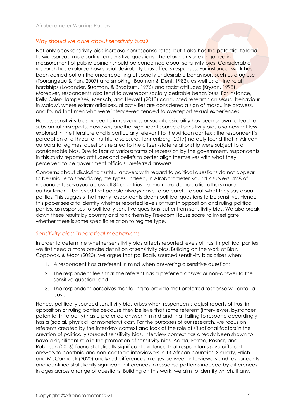#### *Why should we care about sensitivity bias?*

Not only does sensitivity bias increase nonresponse rates, but it also has the potential to lead to widespread misreporting on sensitive questions. Therefore, anyone engaged in measurement of public opinion should be concerned about sensitivity bias. Considerable research has explored how social desirability bias affects responses. For instance, work has been carried out on the underreporting of socially undesirable behaviours such as drug use (Tourangeau & Yan, 2007) and smoking (Bauman & Dent, 1982), as well as of financial hardships (Locander, Sudman, & Bradburn, 1976) and racist attitudes (Krysan, 1998). Moreover, respondents also tend to overreport socially desirable behaviours. For instance, Kelly, Soler-Hampejsek, Mensch, and Hewett (2013) conducted research on sexual behaviour in Malawi, where extramarital sexual activities are considered a sign of masculine prowess, and found that men who were interviewed tended to overreport sexual experiences.

Hence, sensitivity bias traced to intrusiveness or social desirability has been shown to lead to substantial misreports. However, another significant source of sensitivity bias is somewhat less explored in the literature and is particularly relevant to the African context: the respondent's perception of a threat of truthful disclosure. Tannenberg (2017) notably found that in African autocratic regimes, questions related to the citizen-state relationship were subject to a considerable bias. Due to fear of various forms of repression by the government, respondents in this study reported attitudes and beliefs to better align themselves with what they perceived to be government officials' preferred answers.

Concerns about disclosing truthful answers with regard to political questions do not appear to be unique to specific regime types. Indeed, in Afrobarometer Round 7 surveys, 42% of respondents surveyed across all 34 countries – some more democratic, others more authoritarian – believed that people always have to be careful about what they say about politics. This suggests that many respondents deem political questions to be sensitive. Hence, this paper seeks to identify whether reported levels of trust in opposition and ruling political parties, as responses to politically sensitive questions, suffer from sensitivity bias. We also break down these results by country and rank them by Freedom House score to investigate whether there is some specific relation to regime type.

#### *Sensitivity bias: Theoretical mechanisms*

In order to determine whether sensitivity bias affects reported levels of trust in political parties, we first need a more precise definition of sensitivity bias. Building on the work of Blair, Coppock, & Moor (2020), we argue that politically sourced sensitivity bias arises when:

- 1. A respondent has a referent in mind when answering a sensitive question;
- 2. The respondent feels that the referent has a preferred answer or non-answer to the sensitive question; and
- 3. The respondent perceives that failing to provide that preferred response will entail a cost.

Hence, politically sourced sensitivity bias arises when respondents adjust reports of trust in opposition or ruling parties because they believe that some referent (interviewer, bystander, potential third party) has a preferred answer in mind and that failing to respond accordingly has a (social, physical, or monetary) cost. For the purposes of our research, we focus on referents created by the interview context and look at the role of situational factors in the creation of politically sourced sensitivity bias. Interview context has already been shown to have a significant role in the promotion of sensitivity bias. Adida, Ferree, Posner, and Robinson (2016) found statistically significant evidence that respondents give different answers to coethnic and non-coethnic interviewers in 14 African countries. Similarly, Erlich and McCormack (2020) analyzed differences in ages between interviewers and respondents and identified statistically significant differences in response patterns induced by differences in ages across a range of questions. Building on this work, we aim to identify which, if any,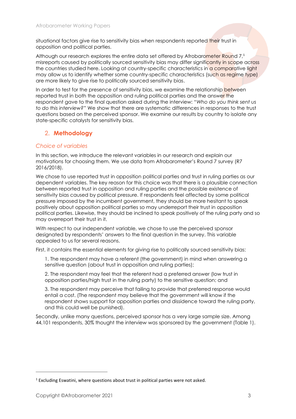situational factors give rise to sensitivity bias when respondents reported their trust in opposition and political parties.

Although our research explores the entire data set offered by Afrobarometer Round 7,1 misreports caused by politically sourced sensitivity bias may differ significantly in scope across the countries studied here. Looking at country-specific characteristics in a comparative light may allow us to identify whether some country-specific characteristics (such as regime type) are more likely to give rise to politically sourced sensitivity bias.

In order to test for the presence of sensitivity bias, we examine the relationship between reported trust in both the opposition and ruling political parties and the answer the respondent gave to the final question asked during the interview: "*Who do you think sent us to do this interview?*" We show that there are systematic differences in responses to the trust questions based on the perceived sponsor. We examine our results by country to isolate any state-specific catalysts for sensitivity bias.

# 2. **Methodology**

#### *Choice of variables*

In this section, we introduce the relevant variables in our research and explain our motivations for choosing them. We use data from Afrobarometer's Round 7 survey (R7 2016/2018).

We chose to use reported trust in opposition political parties and trust in ruling parties as our dependent variables. The key reason for this choice was that there is a plausible connection between reported trust in opposition and ruling parties and the possible existence of sensitivity bias caused by political pressure. If respondents feel affected by some political pressure imposed by the incumbent government, they should be more hesitant to speak positively about opposition political parties so may underreport their trust in opposition political parties. Likewise, they should be inclined to speak positively of the ruling party and so may overreport their trust in it.

With respect to our independent variable, we chose to use the perceived sponsor designated by respondents' answers to the final question in the survey. This variable appealed to us for several reasons.

First, it contains the essential elements for giving rise to politically sourced sensitivity bias:

1. The respondent may have a referent (the government) in mind when answering a sensitive question (about trust in opposition and ruling parties);

2. The respondent may feel that the referent had a preferred answer (low trust in opposition parties/high trust in the ruling party) to the sensitive question; and

3. The respondent may perceive that failing to provide that preferred response would entail a cost. (The respondent may believe that the government will know if the respondent shows support for opposition parties and dissidence toward the ruling party, and this could well be punished).

Secondly, unlike many questions, perceived sponsor has a very large sample size. Among 44,101 respondents, 30% thought the interview was sponsored by the government (Table 1).

<sup>&</sup>lt;sup>1</sup> Excluding Eswatini, where questions about trust in political parties were not asked.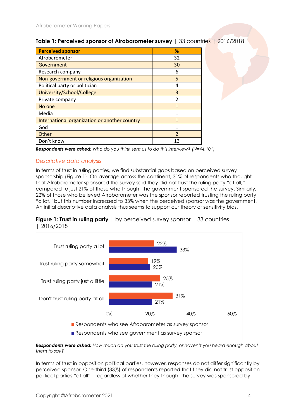| <b>Perceived sponsor</b>                      | ℅                        |
|-----------------------------------------------|--------------------------|
| Afrobarometer                                 | 32                       |
| Government                                    | 30                       |
| Research company                              | 6                        |
| Non-government or religious organization      | 5                        |
| Political party or politician                 | 4                        |
| University/School/College                     | 3                        |
| Private company                               | $\mathfrak{p}$           |
| No one                                        |                          |
| Media                                         | 1                        |
| International organization or another country | 1                        |
| God                                           |                          |
| Other                                         | $\overline{\phantom{0}}$ |
| Don't know                                    | 13                       |

### **Table 1: Perceived sponsor of Afrobarometer survey** | 33 countries | 2016/2018

*Respondents were asked: Who do you think sent us to do this interview? (N=44,101)*

# *Descriptive data analysis*

In terms of trust in ruling parties, we find substantial gaps based on perceived survey sponsorship (Figure 1). On average across the continent, 31% of respondents who thought that Afrobarometer sponsored the survey said they did not trust the ruling party "at all," compared to just 21% of those who thought the government sponsored the survey. Similarly, 22% of those who believed Afrobarometer was the sponsor reported trusting the ruling party "a lot," but this number increased to 33% when the perceived sponsor was the government. An initial descriptive data analysis thus seems to support our theory of sensitivity bias.

#### **Figure 1: Trust in ruling party** | by perceived survey sponsor | 33 countries | 2016/2018



*Respondents were asked: How much do you trust the ruling party, or haven't you heard enough about them to say?* 

In terms of trust in opposition political parties, however, responses do not differ significantly by perceived sponsor. One-third (33%) of respondents reported that they did not trust opposition political parties "at all" – regardless of whether they thought the survey was sponsored by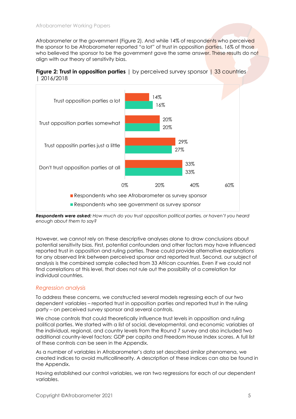Afrobarometer or the government (Figure 2). And while 14% of respondents who perceived the sponsor to be Afrobarometer reported "a lot" of trust in opposition parties, 16% of those who believed the sponsor to be the government gave the same answer. These results do not align with our theory of sensitivity bias.





*Respondents were asked: How much do you trust opposition political parties, or haven't you heard enough about them to say?* 

However, we cannot rely on these descriptive analyses alone to draw conclusions about potential sensitivity bias. First, potential confounders and other factors may have influenced reported trust in opposition and ruling parties. These could provide alternative explanations for any observed link between perceived sponsor and reported trust. Second, our subject of analysis is the combined sample collected from 33 African countries. Even if we could not find correlations at this level, that does not rule out the possibility of a correlation for individual countries.

#### *Regression analysis*

To address these concerns, we constructed several models regressing each of our two dependent variables – reported trust in opposition parties and reported trust in the ruling party – on perceived survey sponsor and several controls.

We chose controls that could theoretically influence trust levels in opposition and ruling political parties. We started with a list of social, developmental, and economic variables at the individual, regional, and country levels from the Round 7 survey and also included two additional country-level factors: GDP per capita and Freedom House Index scores. A full list of these controls can be seen in the Appendix.

As a number of variables in Afrobarometer's data set described similar phenomena, we created indices to avoid multicollinearity. A description of these indices can also be found in the Appendix.

Having established our control variables, we ran two regressions for each of our dependent variables.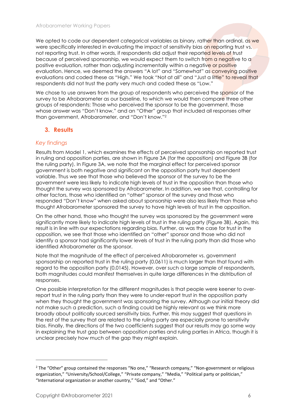We opted to code our dependent categorical variables as binary, rather than ordinal, as we were specifically interested in evaluating the impact of sensitivity bias on reporting trust vs. not reporting trust. In other words, if respondents did adjust their reported levels of trust because of perceived sponsorship, we would expect them to switch from a negative to a positive evaluation, rather than adjusting incrementally within a negative or positive evaluation. Hence, we deemed the answers "A lot" and "Somewhat" as conveying positive evaluations and coded these as "High." We took "Not at all" and "Just a little" to reveal that respondents did not trust the party very much and coded these as "Low."

We chose to use answers from the group of respondents who perceived the sponsor of the survey to be Afrobarometer as our baseline, to which we would then compare three other groups of respondents: Those who perceived the sponsor to be the government, those whose answer was "Don't know," and an "Other" group that included all responses other than government, Afrobarometer, and "Don't know."<sup>2</sup>

# **3. Results**

#### *Key findings*

Results from Model 1, which examines the effects of perceived sponsorship on reported trust in ruling and opposition parties, are shown in Figure 3A (for the opposition) and Figure 3B (for the ruling party). In Figure 3A, we note that the marginal effect for perceived sponsor government is both negative and significant on the opposition party trust dependent variable. Thus we see that those who believed the sponsor of the survey to be the government were less likely to indicate high levels of trust in the opposition than those who thought the survey was sponsored by Afrobarometer. In addition, we see that, controlling for other factors, those who identified an "other" sponsor of the survey and those who responded "Don't know" when asked about sponsorship were also less likely than those who thought Afrobarometer sponsored the survey to have high levels of trust in the opposition.

On the other hand, those who thought the survey was sponsored by the government were significantly more likely to indicate high levels of trust in the ruling party (Figure 3B). Again, this result is in line with our expectations regarding bias. Further, as was the case for trust in the opposition, we see that those who identified an "other" sponsor and those who did not identify a sponsor had significantly lower levels of trust in the ruling party than did those who identified Afrobarometer as the sponsor.

Note that the magnitude of the effect of perceived Afrobarometer vs. government sponsorship on reported trust in the ruling party (0.0611) is much larger than that found with regard to the opposition party (0.0145). However, over such a large sample of respondents, both magnitudes could manifest themselves in quite large differences in the distribution of responses.

One possible interpretation for the different magnitudes is that people were keener to overreport trust in the ruling party than they were to under-report trust in the opposition party when they thought the government was sponsoring the survey. Although our initial theory did not make such a prediction, such a finding could be highly relevant as we think more broadly about politically sourced sensitivity bias. Further, this may suggest that questions in the rest of the survey that are related to the ruling party are especially prone to sensitivity bias. Finally, the directions of the two coefficients suggest that our results may go some way in explaining the trust gap between opposition parties and ruling parties in Africa, though it is unclear precisely how much of the gap they might explain.

<sup>&</sup>lt;sup>2</sup> The "Other" group contained the responses "No one," "Research company," "Non-government or religious organization," "University/School/College," "Private company," "Media," "Political party or politician," "International organization or another country," "God," and "Other."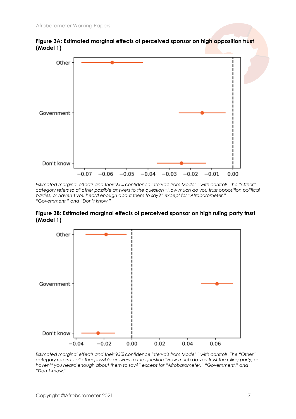



*Estimated marginal effects and their 95% confidence intervals from Model 1 with controls. The "Other" category refers to all other possible answers to the question "How much do you trust opposition political parties, or haven't you heard enough about them to say?" except for "Afrobarometer," "Government," and "Don't know."*

#### **Figure 3B: Estimated marginal effects of perceived sponsor on high ruling party trust (Model 1)**



*Estimated marginal effects and their 95% confidence intervals from Model 1 with controls. The "Other" category refers to all other possible answers to the question "How much do you trust the ruling party, or haven't you heard enough about them to say?" except for "Afrobarometer," "Government," and "Don't know."*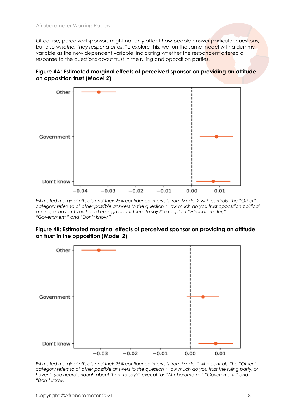Of course, perceived sponsors might not only affect *how* people answer particular questions, but also *whether they respond at all*. To explore this, we run the same model with a dummy variable as the new dependent variable, indicating whether the respondent offered a response to the questions about trust in the ruling and opposition parties.



# **Figure 4A: Estimated marginal effects of perceived sponsor on providing an attitude on opposition trust (Model 2)**

*Estimated marginal effects and their 95% confidence intervals from Model 2 with controls. The "Other" category refers to all other possible answers to the question "How much do you trust opposition political parties, or haven't you heard enough about them to say?" except for "Afrobarometer," "Government," and "Don't know."*

#### **Figure 4B: Estimated marginal effects of perceived sponsor on providing an attitude on trust in the opposition (Model 2)**



*Estimated marginal effects and their 95% confidence intervals from Model 1 with controls. The "Other" category refers to all other possible answers to the question "How much do you trust the ruling party, or haven't you heard enough about them to say?" except for "Afrobarometer," "Government," and "Don't know."*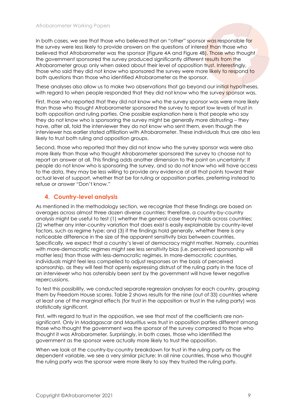In both cases, we see that those who believed that an "other" sponsor was responsible for the survey were less likely to provide answers on the questions of interest than those who believed that Afrobarometer was the sponsor (Figure 4A and Figure 4B). Those who thought the government sponsored the survey produced significantly different results from the Afrobarometer group only when asked about their level of opposition trust. Interestingly, those who said they did not know who sponsored the survey were more likely to respond to both questions than those who identified Afrobarometer as the sponsor.

These analyses also allow us to make two observations that go beyond our initial hypotheses, with regard to when people responded that they did not know who the survey sponsor was.

First, those who reported that they did not know who the survey sponsor was were more likely than those who thought Afrobarometer sponsored the survey to report low levels of trust in both opposition and ruling parties. One possible explanation here is that people who say they do not know who is sponsoring the survey might be generally more distrusting – they have, after all, told the interviewer they do not know who sent them, even though the interviewer has earlier stated affiliation with Afrobarometer. These individuals thus are also less likely to trust both ruling and opposition groups.

Second, those who reported that they did not know who the survey sponsor was were also more likely than those who thought Afrobarometer sponsored the survey to choose not to report an answer at all. This finding adds another dimension to the point on uncertainty: If people do not know who is sponsoring the survey, and so do not know who will have access to the data, they may be less willing to provide any evidence at all that points toward their actual level of support, whether that be for ruling or opposition parties, preferring instead to refuse or answer "Don't know."

# **4. Country-level analysis**

As mentioned in the methodology section, we recognize that these findings are based on averages across almost three dozen diverse countries; therefore, a country-by-country analysis might be useful to test (1) whether the general case theory holds across countries; (2) whether any inter-country variation that does exist is easily explainable by country-level factors, such as regime type; and (3) if the findings hold generally, whether there is any noticeable difference in the size of the apparent sensitivity bias between countries. Specifically, we expect that a country's level of democracy might matter. Namely, countries with more-democratic regimes might see less sensitivity bias (i.e. perceived sponsorship will matter less) than those with less-democratic regimes. In more-democratic countries, individuals might feel less compelled to adjust responses on the basis of perceived sponsorship, as they will feel that openly expressing distrust of the ruling party in the face of an interviewer who has ostensibly been sent by the government will have fewer negative repercussions.

To test this possibility, we conducted separate regression analyses for each country, grouping them by Freedom House scores. Table 2 shows results for the nine (out of 33) countries where at least one of the marginal effects (for trust in the opposition or trust in the ruling party) was statistically significant.

First, with regard to trust in the opposition, we see that most of the coefficients are nonsignificant. Only in Madagascar and Mauritius was trust in opposition parties different among those who thought the government was the sponsor of the survey compared to those who thought it was Afrobarometer. Surprisingly, in both cases, those who identified the government as the sponsor were actually more likely to trust the opposition.

When we look at the country-by-country breakdown for trust in the ruling party as the dependent variable, we see a very similar picture: In all nine countries, those who thought the ruling party was the sponsor were more likely to say they trusted the ruling party.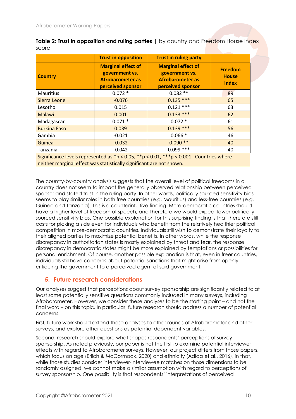|                                                                      | <b>Trust in opposition</b>                                                                  | <b>Trust in ruling party</b>                                                                     |                                                |
|----------------------------------------------------------------------|---------------------------------------------------------------------------------------------|--------------------------------------------------------------------------------------------------|------------------------------------------------|
| <b>Country</b>                                                       | <b>Marginal effect of</b><br>government vs.<br><b>Afrobarometer as</b><br>perceived sponsor | <b>Marginal effect of</b><br>government vs.<br><b>Afrobarometer as</b><br>perceived sponsor      | <b>Freedom</b><br><b>House</b><br><b>Index</b> |
| <b>Mauritius</b>                                                     | $0.072*$                                                                                    | $0.082**$                                                                                        | 89                                             |
| Sierra Leone                                                         | $-0.076$                                                                                    | $0.135***$                                                                                       | 65                                             |
| Lesotho                                                              | 0.015                                                                                       | $0.121***$                                                                                       | 63                                             |
| Malawi                                                               | 0.001                                                                                       | $0.133***$                                                                                       | 62                                             |
| Madagascar                                                           | $0.071*$                                                                                    | $0.072*$                                                                                         | 61                                             |
| <b>Burkina Faso</b>                                                  | 0.039                                                                                       | $0.139***$                                                                                       | 56                                             |
| Gambia                                                               | $-0.021$                                                                                    | $0.066*$                                                                                         | 46                                             |
| Guinea                                                               | $-0.032$                                                                                    | $0.090**$                                                                                        | 40                                             |
| Tanzania                                                             | $-0.042$                                                                                    | $0.099$ ***                                                                                      | 40                                             |
| neither marginal effect was statistically significant are not shown. |                                                                                             | Significance levels represented as $np < 0.05$ , $* p < 0.01$ , $** p < 0.001$ . Countries where |                                                |

**Table 2: Trust in opposition and ruling parties** | by country and Freedom House Index score

The country-by-country analysis suggests that the overall level of political freedoms in a country does not seem to impact the generally observed relationship between perceived sponsor and stated trust in the ruling party. In other words, politically sourced sensitivity bias seems to play similar roles in both free countries (e.g. Mauritius) and less-free countries (e.g. Guinea and Tanzania). This is a counterintuitive finding. More-democratic countries should have a higher level of freedom of speech, and therefore we would expect lower politically sourced sensitivity bias. One possible explanation for this surprising finding is that there are still costs for picking a side even for individuals who benefit from the relatively healthier political competition in more-democratic countries. Individuals still wish to demonstrate their loyalty to their aligned parties to maximize potential benefits. In other words, while the response discrepancy in authoritarian states is mostly explained by threat and fear, the response discrepancy in democratic states might be more explained by temptations or possibilities for personal enrichment. Of course, another possible explanation is that, even in freer countries, individuals still have concerns about potential sanctions that might arise from openly critiquing the government to a perceived agent of said government.

# **5. Future research considerations**

Our analyses suggest that perceptions about survey sponsorship are significantly related to at least some potentially sensitive questions commonly included in many surveys, including Afrobarometer. However, we consider these analyses to be the starting point – and not the final word – on this topic. In particular, future research should address a number of potential concerns.

First, future work should extend these analyses to other rounds of Afrobarometer and other surveys, and explore other questions as potential dependent variables.

Second, research should explore what shapes respondents' perceptions of survey sponsorship. As noted previously, our paper is not the first to examine potential interviewer effects with regard to Afrobarometer surveys. However, our project differs from those papers, which focus on age (Erlich & McCormack, 2020) and ethnicity (Adida et al., 2016), in that, while those studies consider interviewer-interviewee matches on those dimensions to be randomly assigned, we cannot make a similar assumption with regard to perceptions of survey sponsorship. One possibility is that respondents' interpretations of perceived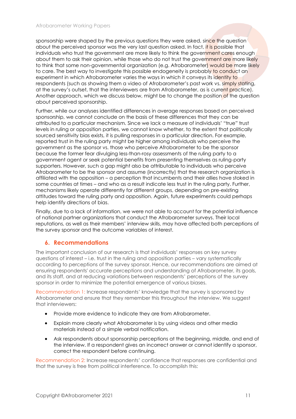sponsorship were shaped by the previous questions they were asked, since the question about the perceived sponsor was the very last question asked. In fact, it is possible that individuals who trust the government are more likely to think the government cares enough about them to ask their opinion, while those who do not trust the government are more likely to think that some non-governmental organization (e.g. Afrobarometer) would be more likely to care. The best way to investigate this possible endogeneity is probably to conduct an experiment in which Afrobarometer varies the ways in which it conveys its identity to respondents (such as showing them a video of Afrobarometer's past work vs. simply stating, at the survey's outset, that the interviewers are from Afrobarometer, as is current practice). Another approach, which we discuss below, might be to change the position of the question about perceived sponsorship.

Further, while our analyses identified differences in average responses based on perceived sponsorship, we cannot conclude on the basis of these differences that they can be attributed to a particular mechanism. Since we lack a measure of individuals' "true" trust levels in ruling or opposition parties, we cannot know whether, to the extent that politically sourced sensitivity bias exists, it is pulling responses in a particular direction. For example, reported trust in the ruling party might be higher among individuals who perceive the government as the sponsor vs. those who perceive Afrobarometer to be the sponsor because the former fear divulging less-than-rosy assessments of the ruling party to a government agent or seek potential benefits from presenting themselves as ruling-party supporters. However, such a gap might also be attributable to individuals who perceive Afrobarometer to be the sponsor and assume (incorrectly) that the research organization is affiliated with the opposition – a perception that incumbents and their allies have stoked in some countries at times – and who as a result indicate less trust in the ruling party. Further, mechanisms likely operate differently for different groups, depending on pre-existing attitudes toward the ruling party and opposition. Again, future experiments could perhaps help identify directions of bias.

Finally, due to a lack of information, we were not able to account for the potential influence of national partner organizations that conduct the Afrobarometer surveys. Their local reputations, as well as their members' interview skills, may have affected both perceptions of the survey sponsor and the outcome variables of interest.

# **6. Recommendations**

The important conclusion of our research is that individuals' responses on key survey questions of interest – i.e. trust in the ruling and opposition parties – vary systematically according to perceptions of the survey sponsor. Hence, our recommendations are aimed at ensuring respondents' accurate perceptions and understanding of Afrobarometer, its goals, and its staff, and at reducing variations between respondents' perceptions of the survey sponsor in order to minimize the potential emergence of various biases.

Recommendation 1: Increase respondents' knowledge that the survey is sponsored by Afrobarometer and ensure that they remember this throughout the interview. We suggest that interviewers:

- Provide more evidence to indicate they are from Afrobarometer.
- Explain more clearly what Afrobarometer is by using videos and other media materials instead of a simple verbal notification.
- Ask respondents about sponsorship perceptions at the beginning, middle, and end of the interview. If a respondent gives an incorrect answer or cannot identify a sponsor, correct the respondent before continuing.

Recommendation 2: Increase respondents' confidence that responses are confidential and that the survey is free from political interference. To accomplish this: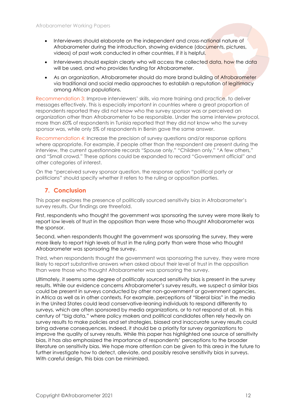- Interviewers should elaborate on the independent and cross-national nature of Afrobarometer during the introduction, showing evidence (documents, pictures, videos) of past work conducted in other countries, if it is helpful.
- Interviewers should explain clearly who will access the collected data, how the data will be used, and who provides funding for Afrobarometer.
- As an organization, Afrobarometer should do more brand building of Afrobarometer via traditional and social media approaches to establish a reputation of legitimacy among African populations.

Recommendation 3: Improve interviewers' skills, via more training and practice, to deliver messages effectively. This is especially important in countries where a great proportion of respondents reported they did not know who the survey sponsor was or perceived an organization other than Afrobarometer to be responsible. Under the same interview protocol, more than 60% of respondents in Tunisia reported that they did not know who the survey sponsor was, while only 5% of respondents in Benin gave the same answer.

Recommendation 4: Increase the precision of survey questions and/or response options where appropriate. For example, if people other than the respondent are present during the interview, the current questionnaire records "Spouse only," "Children only," "A few others," and "Small crowd." These options could be expanded to record "Government official" and other categories of interest.

On the "perceived survey sponsor question, the response option "political party or politicians" should specify whether it refers to the ruling or opposition parties.

# **7. Conclusion**

This paper explores the presence of politically sourced sensitivity bias in Afrobarometer's survey results. Our findings are threefold.

First, respondents who thought the government was sponsoring the survey were more likely to report low levels of trust in the opposition than were those who thought Afrobarometer was the sponsor.

Second, when respondents thought the government was sponsoring the survey, they were more likely to report high levels of trust in the ruling party than were those who thought Afrobarometer was sponsoring the survey.

Third, when respondents thought the government was sponsoring the survey, they were more likely to report substantive answers when asked about their level of trust in the opposition than were those who thought Afrobarometer was sponsoring the survey.

Ultimately, it seems some degree of politically sourced sensitivity bias is present in the survey results. While our evidence concerns Afrobarometer's survey results, we suspect a similar bias could be present in surveys conducted by other non-government or government agencies, in Africa as well as in other contexts. For example, perceptions of "liberal bias" in the media in the United States could lead conservative-leaning individuals to respond differently to surveys, which are often sponsored by media organizations, or to not respond at all. In this century of "big data," where policy makers and political candidates often rely heavily on survey results to make policies and set strategies, biased and inaccurate survey results could bring adverse consequences. Indeed, it should be a priority for survey organizations to improve the quality of survey results. While this paper has highlighted one source of sensitivity bias, it has also emphasized the importance of respondents' perceptions to the broader literature on sensitivity bias. We hope more attention can be given to this area in the future to further investigate how to detect, alleviate, and possibly resolve sensitivity bias in surveys. With careful design, this bias can be minimized.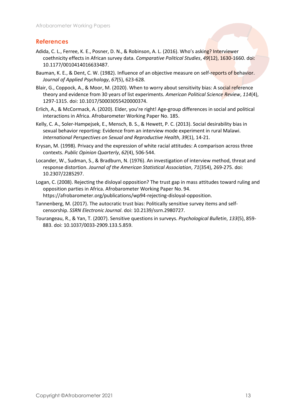# **References**

- Adida, C. L., Ferree, K. E., Posner, D. N., & Robinson, A. L. (2016). Who's asking? Interviewer coethnicity effects in African survey data. *Comparative Political Studies*, *49*(12), 1630-1660. doi: 10.1177/0010414016633487.
- Bauman, K. E., & Dent, C. W. (1982). Influence of an objective measure on self-reports of behavior. *Journal of Applied Psychology*, *67*(5), 623-628.
- Blair, G., Coppock, A., & Moor, M. (2020). When to worry about sensitivity bias: A social reference theory and evidence from 30 years of list experiments. *American Political Science Review*, *114*(4), 1297-1315. doi: 10.1017/S0003055420000374.
- Erlich, A., & McCormack, A. (2020). Elder, you're right! Age-group differences in social and political interactions in Africa. Afrobarometer Working Paper No. 185.
- Kelly, C. A., Soler-Hampejsek, E., Mensch, B. S., & Hewett, P. C. (2013). Social desirability bias in sexual behavior reporting: Evidence from an interview mode experiment in rural Malawi. *International Perspectives on Sexual and Reproductive Health*, *39*(1), 14-21.
- Krysan, M. (1998). Privacy and the expression of white racial attitudes: A comparison across three contexts. *Public Opinion Quarterly*, *62*(4), 506-544.
- Locander, W., Sudman, S., & Bradburn, N. (1976). An investigation of interview method, threat and response distortion. *Journal of the American Statistical Association*, *71*(354), 269-275. doi: 10.2307/2285297.
- Logan, C. (2008). Rejecting the disloyal opposition? The trust gap in mass attitudes toward ruling and opposition parties in Africa. Afrobarometer Working Paper No. 94. https://afrobarometer.org/publications/wp94-rejecting-disloyal-opposition.
- Tannenberg, M. (2017). The autocratic trust bias: Politically sensitive survey items and selfcensorship. *SSRN Electronic Journal*. doi: 10.2139/ssrn.2980727.
- Tourangeau, R., & Yan, T. (2007). Sensitive questions in surveys. *Psychological Bulletin*, *133*(5), 859- 883. doi: 10.1037/0033-2909.133.5.859.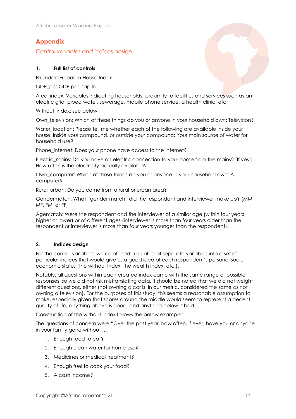# **Appendix**

*Control variables and indices design*

# **1. Full list of controls**

Fh\_index: Freedom House Index

GDP\_pc: GDP per capita

Area\_index: Variables indicating households' proximity to facilities and services such as an electric grid, piped water, sewerage, mobile phone service, a health clinic, etc.

Without index: see below

Own\_television: Which of these things do you or anyone in your household own: Television?

Water location: Please tell me whether each of the following are available inside your house, inside your compound, or outside your compound: Your main source of water for household use?

Phone internet: Does your phone have access to the Internet?

Electric mains: Do you have an electric connection to your home from the mains? [If yes:] How often is the electricity actually available?

Own\_computer: Which of these things do you or anyone in your household own: A computer?

Rural urban: Do you come from a rural or urban area?

Gendermatch: What "gender match" did the respondent and interviewer make up? (MM, MF, FM, or FF)

Agematch: Were the respondent and the interviewer of a similar age (within four years higher or lower) or of different ages (interviewer is more than four years older than the respondent or interviewer is more than four years younger than the respondent).

#### **2. Indices design**

For the control variables, we combined a number of separate variables into a set of particular indices that would give us a good idea of each respondent's personal socioeconomic status (the without index, the wealth index, etc.).

Notably, all questions within each created index came with the same range of possible responses, so we did not risk mistranslating data. It should be noted that we did not weight different questions, either (not owning a car is, in our metric, considered the same as not owning a television). For the purposes of this study, this seems a reasonable assumption to make, especially given that scores around the middle would seem to represent a decent quality of life, anything above is good, and anything below is bad.

Construction of the without index follows the below example:

The questions of concern were "Over the past year, how often, if ever, have you or anyone in your family gone without …

- 1. Enough food to eat?
- 2. Enough clean water for home use?
- 3. Medicines or medical treatment?
- 4. Enough fuel to cook your food?
- 5. A cash income?

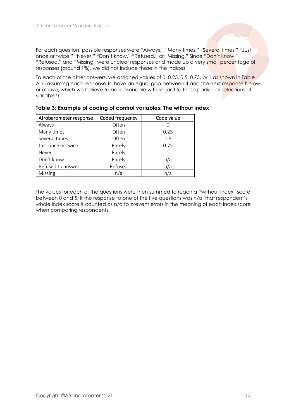For each question, possible responses were "Always," "Many times," "Several times," "Just once or twice," "Never," "Don't know," "Refused," or "Missing." Since "Don't know," "Refused," and "Missing" were unclear responses and made up a very small percentage of responses (around 1%), we did not include these in the indices.

To each of the other answers, we assigned values of 0, 0.25, 0.5, 0.75, or 1 as shown in Table A.1 (assuming each response to have an equal gap between it and the next response below or above, which we believe to be reasonable with regard to these particular selections of variables).

| Afrobarometer response | Coded frequency | Code value |
|------------------------|-----------------|------------|
| Always                 | Often           |            |
| Many times             | Often           | 0.25       |
| Several times          | Often           | 0.5        |
| Just once or twice     | Rarely          | 0.75       |
| Never                  | Rarely          |            |
| Don't know             | Rarely          | n/a        |
| Refused to answer      | Refused         | n/a        |
| Missing                | n/a             | n/a        |

| Table 3: Example of coding of control variables: The without index |
|--------------------------------------------------------------------|
|--------------------------------------------------------------------|

The values for each of the questions were then summed to reach a "without index" score between 0 and 5. If the response to one of the five questions was n/a, that respondent's whole index score is counted as n/a to prevent errors in the meaning of each index score when comparing respondents.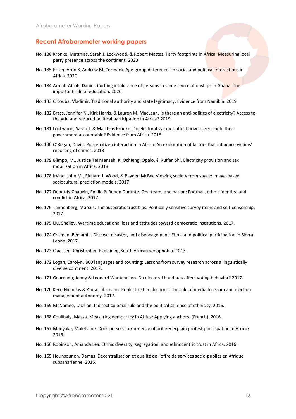#### **Recent Afrobarometer working papers**

- No. 186 Krönke, Matthias, Sarah J. Lockwood, & Robert Mattes. Party footprints in Africa: Measuring local party presence across the continent. 2020
- No. 185 Erlich, Aron & Andrew McCormack. Age-group differences in social and political interactions in Africa. 2020
- No. 184 Armah-Attoh, Daniel. Curbing intolerance of persons in same-sex relationships in Ghana: The important role of education. 2020
- No. 183 Chlouba, Vladimir. Traditional authority and state legitimacy: Evidence from Namibia. 2019
- No. 182 Brass, Jennifer N., Kirk Harris, & Lauren M. MacLean. Is there an anti-politics of electricity? Access to the grid and reduced political participation in Africa? 2019
- No. 181 Lockwood, Sarah J. & Matthias Krönke. Do electoral systems affect how citizens hold their government accountable? Evidence from Africa. 2018
- No. 180 O'Regan, Davin. Police-citizen interaction in Africa: An exploration of factors that influence victims' reporting of crimes. 2018
- No. 179 Blimpo, M., Justice Tei Mensah, K. Ochieng' Opalo, & Ruifan Shi. Electricity provision and tax mobilization in Africa. 2018
- No. 178 Irvine, John M., Richard J. Wood, & Payden McBee Viewing society from space: Image-based sociocultural prediction models. 2017
- No. 177 Depetris-Chauvin, Emilio & Ruben Durante. One team, one nation: Football, ethnic identity, and conflict in Africa. 2017.
- No. 176 Tannenberg, Marcus. The autocratic trust bias: Politically sensitive survey items and self-censorship. 2017.
- No. 175 Liu, Shelley. Wartime educational loss and attitudes toward democratic institutions. 2017.
- No. 174 Crisman, Benjamin. Disease, disaster, and disengagement: Ebola and political participation in Sierra Leone. 2017.
- No. 173 Claassen, Christopher. Explaining South African xenophobia. 2017.
- No. 172 Logan, Carolyn. 800 languages and counting: Lessons from survey research across a linguistically diverse continent. 2017.
- No. 171 Guardado, Jenny & Leonard Wantchekon. Do electoral handouts affect voting behavior? 2017.
- No. 170 Kerr, Nicholas & Anna Lührmann. Public trust in elections: The role of media freedom and election management autonomy. 2017.
- No. 169 McNamee, Lachlan. Indirect colonial rule and the political salience of ethnicity. 2016.
- No. 168 Coulibaly, Massa. Measuring democracy in Africa: Applying anchors. (French). 2016.
- No. 167 Monyake, Moletsane. Does personal experience of bribery explain protest participation in Africa? 2016.
- No. 166 Robinson, Amanda Lea. Ethnic diversity, segregation, and ethnocentric trust in Africa. 2016.
- No. 165 Hounsounon, Damas. Décentralisation et qualité de l'offre de services socio-publics en Afrique subsaharienne. 2016.